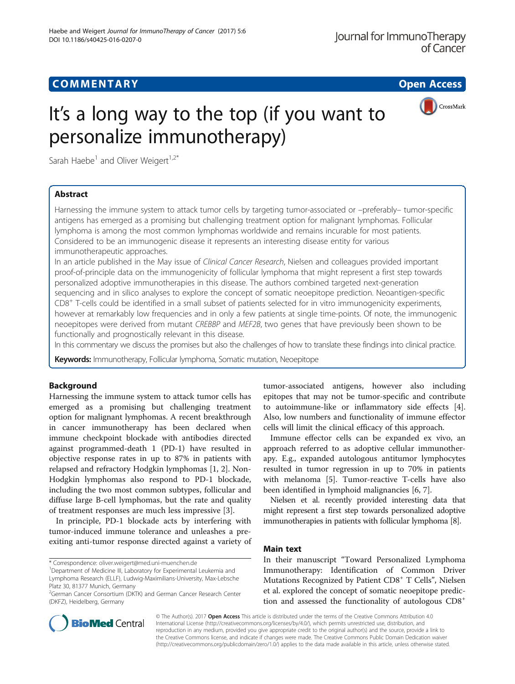## **COMMENTARY COMMENTARY Open Access**



# It's a long way to the top (if you want to personalize immunotherapy)

Sarah Haebe<sup>1</sup> and Oliver Weigert<sup>1,2\*</sup>

## Abstract

Harnessing the immune system to attack tumor cells by targeting tumor-associated or –preferably– tumor-specific antigens has emerged as a promising but challenging treatment option for malignant lymphomas. Follicular lymphoma is among the most common lymphomas worldwide and remains incurable for most patients. Considered to be an immunogenic disease it represents an interesting disease entity for various immunotherapeutic approaches.

In an article published in the May issue of Clinical Cancer Research, Nielsen and colleagues provided important proof-of-principle data on the immunogenicity of follicular lymphoma that might represent a first step towards personalized adoptive immunotherapies in this disease. The authors combined targeted next-generation sequencing and in silico analyses to explore the concept of somatic neoepitope prediction. Neoantigen-specific  $CD8<sup>+</sup>$  T-cells could be identified in a small subset of patients selected for in vitro immunogenicity experiments, however at remarkably low frequencies and in only a few patients at single time-points. Of note, the immunogenic neoepitopes were derived from mutant CREBBP and MEF2B, two genes that have previously been shown to be functionally and prognostically relevant in this disease.

In this commentary we discuss the promises but also the challenges of how to translate these findings into clinical practice.

Keywords: Immunotherapy, Follicular lymphoma, Somatic mutation, Neoepitope

## Background

Harnessing the immune system to attack tumor cells has emerged as a promising but challenging treatment option for malignant lymphomas. A recent breakthrough in cancer immunotherapy has been declared when immune checkpoint blockade with antibodies directed against programmed-death 1 (PD-1) have resulted in objective response rates in up to 87% in patients with relapsed and refractory Hodgkin lymphomas [[1, 2\]](#page-2-0). Non-Hodgkin lymphomas also respond to PD-1 blockade, including the two most common subtypes, follicular and diffuse large B-cell lymphomas, but the rate and quality of treatment responses are much less impressive [\[3](#page-2-0)].

In principle, PD-1 blockade acts by interfering with tumor-induced immune tolerance and unleashes a preexiting anti-tumor response directed against a variety of

\* Correspondence: [oliver.weigert@med.uni-muenchen.de](mailto:oliver.weigert@med.uni-muenchen.de) <sup>1</sup>

tumor-associated antigens, however also including epitopes that may not be tumor-specific and contribute to autoimmune-like or inflammatory side effects [\[4](#page-2-0)]. Also, low numbers and functionality of immune effector cells will limit the clinical efficacy of this approach.

Immune effector cells can be expanded ex vivo, an approach referred to as adoptive cellular immunotherapy. E.g., expanded autologous antitumor lymphocytes resulted in tumor regression in up to 70% in patients with melanoma [\[5\]](#page-2-0). Tumor-reactive T-cells have also been identified in lymphoid malignancies [[6](#page-2-0), [7](#page-2-0)].

Nielsen et al. recently provided interesting data that might represent a first step towards personalized adoptive immunotherapies in patients with follicular lymphoma [[8](#page-2-0)].

### Main text

In their manuscript "Toward Personalized Lymphoma Immunotherapy: Identification of Common Driver Mutations Recognized by Patient  $CDS<sup>+</sup> T$  Cells", Nielsen et al. explored the concept of somatic neoepitope prediction and assessed the functionality of autologous CD8<sup>+</sup>



© The Author(s). 2017 **Open Access** This article is distributed under the terms of the Creative Commons Attribution 4.0 International License [\(http://creativecommons.org/licenses/by/4.0/](http://creativecommons.org/licenses/by/4.0/)), which permits unrestricted use, distribution, and reproduction in any medium, provided you give appropriate credit to the original author(s) and the source, provide a link to the Creative Commons license, and indicate if changes were made. The Creative Commons Public Domain Dedication waiver [\(http://creativecommons.org/publicdomain/zero/1.0/](http://creativecommons.org/publicdomain/zero/1.0/)) applies to the data made available in this article, unless otherwise stated.

<sup>&</sup>lt;sup>1</sup>Department of Medicine III, Laboratory for Experimental Leukemia and Lymphoma Research (ELLF), Ludwig-Maximilians-University, Max-Lebsche Platz 30, 81377 Munich, Germany

<sup>&</sup>lt;sup>2</sup>German Cancer Consortium (DKTK) and German Cancer Research Center (DKFZ), Heidelberg, Germany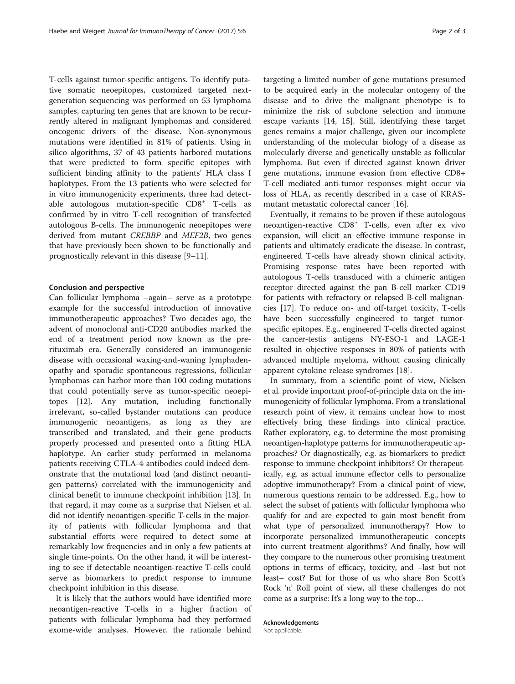T-cells against tumor-specific antigens. To identify putative somatic neoepitopes, customized targeted nextgeneration sequencing was performed on 53 lymphoma samples, capturing ten genes that are known to be recurrently altered in malignant lymphomas and considered oncogenic drivers of the disease. Non-synonymous mutations were identified in 81% of patients. Using in silico algorithms, 37 of 43 patients harbored mutations that were predicted to form specific epitopes with sufficient binding affinity to the patients' HLA class I haplotypes. From the 13 patients who were selected for in vitro immunogenicity experiments, three had detectable autologous mutation-specific CD8<sup>+</sup> T-cells as confirmed by in vitro T-cell recognition of transfected autologous B-cells. The immunogenic neoepitopes were derived from mutant CREBBP and MEF2B, two genes that have previously been shown to be functionally and prognostically relevant in this disease [[9](#page-2-0)–[11](#page-2-0)].

#### Conclusion and perspective

Can follicular lymphoma –again– serve as a prototype example for the successful introduction of innovative immunotherapeutic approaches? Two decades ago, the advent of monoclonal anti-CD20 antibodies marked the end of a treatment period now known as the prerituximab era. Generally considered an immunogenic disease with occasional waxing-and-waning lymphadenopathy and sporadic spontaneous regressions, follicular lymphomas can harbor more than 100 coding mutations that could potentially serve as tumor-specific neoepitopes [[12\]](#page-2-0). Any mutation, including functionally irrelevant, so-called bystander mutations can produce immunogenic neoantigens, as long as they are transcribed and translated, and their gene products properly processed and presented onto a fitting HLA haplotype. An earlier study performed in melanoma patients receiving CTLA-4 antibodies could indeed demonstrate that the mutational load (and distinct neoantigen patterns) correlated with the immunogenicity and clinical benefit to immune checkpoint inhibition [\[13](#page-2-0)]. In that regard, it may come as a surprise that Nielsen et al. did not identify neoantigen-specific T-cells in the majority of patients with follicular lymphoma and that substantial efforts were required to detect some at remarkably low frequencies and in only a few patients at single time-points. On the other hand, it will be interesting to see if detectable neoantigen-reactive T-cells could serve as biomarkers to predict response to immune checkpoint inhibition in this disease.

It is likely that the authors would have identified more neoantigen-reactive T-cells in a higher fraction of patients with follicular lymphoma had they performed exome-wide analyses. However, the rationale behind

targeting a limited number of gene mutations presumed to be acquired early in the molecular ontogeny of the disease and to drive the malignant phenotype is to minimize the risk of subclone selection and immune escape variants [[14, 15](#page-2-0)]. Still, identifying these target genes remains a major challenge, given our incomplete understanding of the molecular biology of a disease as molecularly diverse and genetically unstable as follicular lymphoma. But even if directed against known driver gene mutations, immune evasion from effective CD8+ T-cell mediated anti-tumor responses might occur via loss of HLA, as recently described in a case of KRASmutant metastatic colorectal cancer [[16](#page-2-0)].

Eventually, it remains to be proven if these autologous neoantigen-reactive CD8<sup>+</sup> T-cells, even after ex vivo expansion, will elicit an effective immune response in patients and ultimately eradicate the disease. In contrast, engineered T-cells have already shown clinical activity. Promising response rates have been reported with autologous T-cells transduced with a chimeric antigen receptor directed against the pan B-cell marker CD19 for patients with refractory or relapsed B-cell malignancies [\[17](#page-2-0)]. To reduce on- and off-target toxicity, T-cells have been successfully engineered to target tumorspecific epitopes. E.g., engineered T-cells directed against the cancer-testis antigens NY-ESO-1 and LAGE-1 resulted in objective responses in 80% of patients with advanced multiple myeloma, without causing clinically apparent cytokine release syndromes [[18](#page-2-0)].

In summary, from a scientific point of view, Nielsen et al. provide important proof-of-principle data on the immunogenicity of follicular lymphoma. From a translational research point of view, it remains unclear how to most effectively bring these findings into clinical practice. Rather exploratory, e.g. to determine the most promising neoantigen-haplotype patterns for immunotherapeutic approaches? Or diagnostically, e.g. as biomarkers to predict response to immune checkpoint inhibitors? Or therapeutically, e.g. as actual immune effector cells to personalize adoptive immunotherapy? From a clinical point of view, numerous questions remain to be addressed. E.g., how to select the subset of patients with follicular lymphoma who qualify for and are expected to gain most benefit from what type of personalized immunotherapy? How to incorporate personalized immunotherapeutic concepts into current treatment algorithms? And finally, how will they compare to the numerous other promising treatment options in terms of efficacy, toxicity, and –last but not least– cost? But for those of us who share Bon Scott's Rock 'n' Roll point of view, all these challenges do not come as a surprise: It's a long way to the top…

Acknowledgements Not applicable.